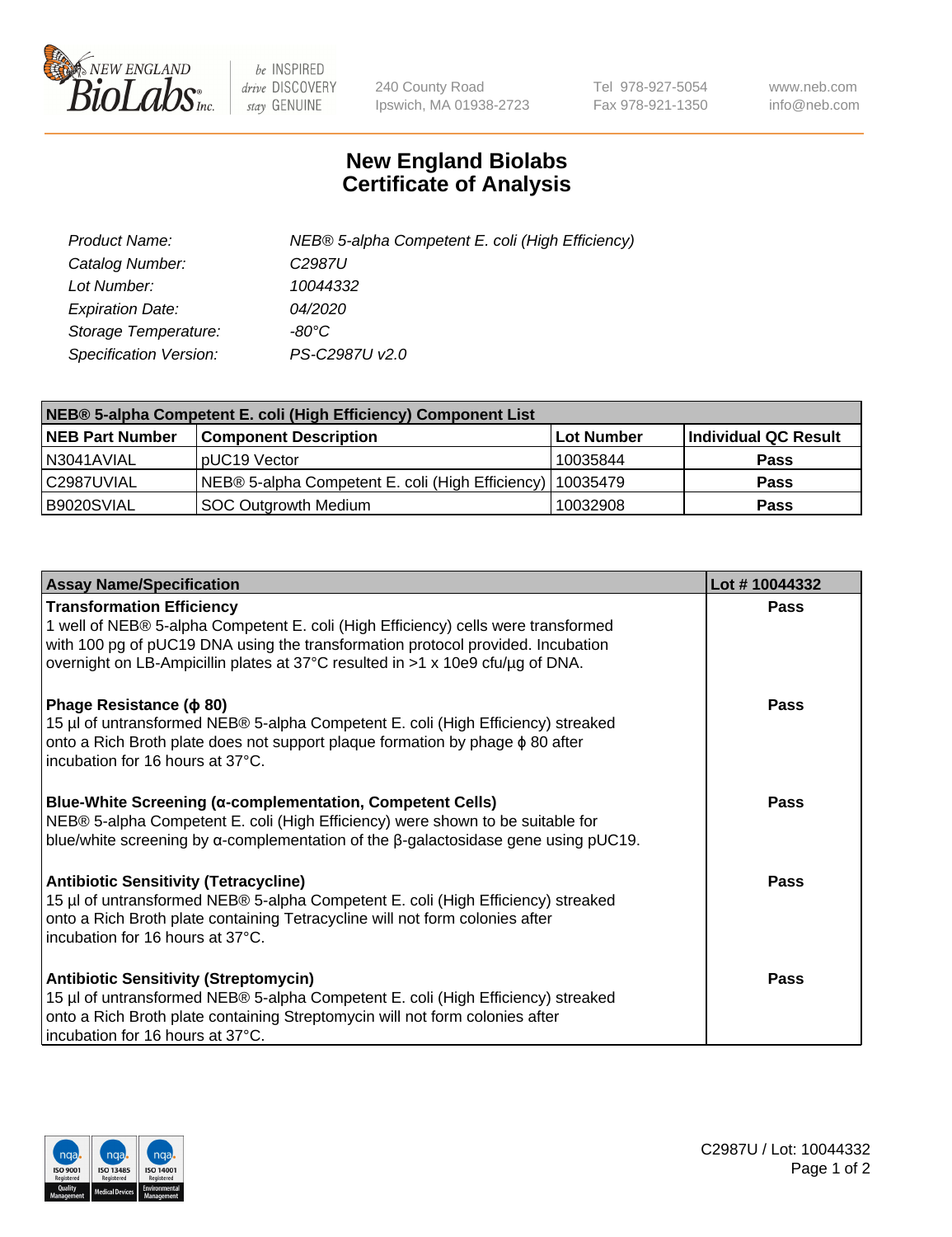

 $be$  INSPIRED drive DISCOVERY stay GENUINE

240 County Road Ipswich, MA 01938-2723 Tel 978-927-5054 Fax 978-921-1350 www.neb.com info@neb.com

## **New England Biolabs Certificate of Analysis**

| Product Name:           | NEB® 5-alpha Competent E. coli (High Efficiency) |
|-------------------------|--------------------------------------------------|
| Catalog Number:         | C <sub>2987</sub> U                              |
| Lot Number:             | 10044332                                         |
| <b>Expiration Date:</b> | <i>04/2020</i>                                   |
| Storage Temperature:    | -80°C                                            |
| Specification Version:  | PS-C2987U v2.0                                   |

| NEB® 5-alpha Competent E. coli (High Efficiency) Component List |                                                             |            |                      |  |
|-----------------------------------------------------------------|-------------------------------------------------------------|------------|----------------------|--|
| <b>NEB Part Number</b>                                          | <b>Component Description</b>                                | Lot Number | Individual QC Result |  |
| N3041AVIAL                                                      | pUC19 Vector                                                | 10035844   | <b>Pass</b>          |  |
| C2987UVIAL                                                      | NEB® 5-alpha Competent E. coli (High Efficiency)   10035479 |            | <b>Pass</b>          |  |
| B9020SVIAL                                                      | <b>SOC Outgrowth Medium</b>                                 | 10032908   | <b>Pass</b>          |  |

| <b>Assay Name/Specification</b>                                                                                                                                                                                                                                                            | Lot #10044332 |
|--------------------------------------------------------------------------------------------------------------------------------------------------------------------------------------------------------------------------------------------------------------------------------------------|---------------|
| <b>Transformation Efficiency</b><br>1 well of NEB® 5-alpha Competent E. coli (High Efficiency) cells were transformed<br>with 100 pg of pUC19 DNA using the transformation protocol provided. Incubation<br>overnight on LB-Ampicillin plates at 37°C resulted in >1 x 10e9 cfu/µg of DNA. | <b>Pass</b>   |
| Phage Resistance ( $\phi$ 80)<br>15 µl of untransformed NEB® 5-alpha Competent E. coli (High Efficiency) streaked<br>onto a Rich Broth plate does not support plaque formation by phage $\phi$ 80 after<br>incubation for 16 hours at 37°C.                                                | Pass          |
| <b>Blue-White Screening (α-complementation, Competent Cells)</b><br>NEB® 5-alpha Competent E. coli (High Efficiency) were shown to be suitable for<br>blue/white screening by $\alpha$ -complementation of the $\beta$ -galactosidase gene using pUC19.                                    | Pass          |
| Antibiotic Sensitivity (Tetracycline)<br>15 µl of untransformed NEB® 5-alpha Competent E. coli (High Efficiency) streaked<br>onto a Rich Broth plate containing Tetracycline will not form colonies after<br>incubation for 16 hours at 37°C.                                              | Pass          |
| <b>Antibiotic Sensitivity (Streptomycin)</b><br>15 µl of untransformed NEB® 5-alpha Competent E. coli (High Efficiency) streaked<br>onto a Rich Broth plate containing Streptomycin will not form colonies after<br>incubation for 16 hours at 37°C.                                       | Pass          |